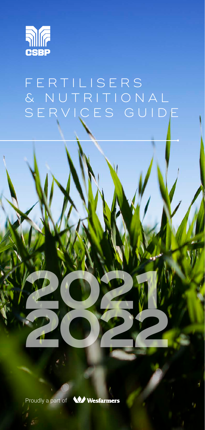

# F E R T I L I S E R S & NUTRITIONAL SERVICES GUIDE



**<sup>2021</sup> <sup>2022</sup>**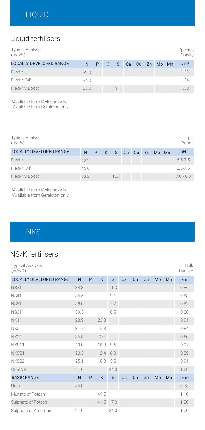### Liquid fertilisers

| <b>Typical Analysis</b><br>$(w/w\%)$ |      |   |   |              |    |  |             | Specific<br>Gravity |
|--------------------------------------|------|---|---|--------------|----|--|-------------|---------------------|
| <b>LOCALLY DEVELOPED RANGE</b>       | N    | P | K | <sub>S</sub> | Ca |  | Cu Zn Mo Mn | t/m <sup>3</sup>    |
| Flexi-N                              | 32.0 |   |   |              |    |  |             | 1.32                |
| Flexi-N 34 <sup>2</sup>              | 34.0 |   |   |              |    |  |             | 1.34                |
| Flexi-NS Boost <sup>1</sup>          | 25.0 |   |   | 9.1          |    |  |             | 1.33                |

1 Available from Kwinana only

2 Available from Geraldton only

| <b>Typical Analysis</b><br>(w/v%) |      |   |   |      |          |       | рH<br>Range |
|-----------------------------------|------|---|---|------|----------|-------|-------------|
| <b>LOCALLY DEVELOPED RANGE</b>    | N    | P | K | S.   | Ca Cu Zn | Mo Mn | pH          |
| Flexi-N                           | 42.2 |   |   |      |          |       | $6.5 - 7.5$ |
| Flexi-N $34^2$                    | 45.6 |   |   |      |          |       | $6.5 - 7.5$ |
| Flexi-NS Boost <sup>1</sup>       | 33.2 |   |   | 12.1 |          |       | $7.0 - 8.0$ |

1 Available from Kwinana only 2 Available from Geraldton only

**NKS** 

### NS/K fertilisers

| <b>Typical Analysis</b><br>$(w/w\%)$ |      |   |      |           |    |    |    |    |    | <b>Bulk</b><br>Density |
|--------------------------------------|------|---|------|-----------|----|----|----|----|----|------------------------|
| <b>LOCALLY DEVELOPED RANGE</b>       | N    | P | K    | S         | Ca | Cu | Zn | Mo | Mn | t/m <sup>3</sup>       |
| <b>NS31</b>                          | 34.3 |   |      | 11.3      |    |    |    |    |    | 0.86                   |
| <b>NS41</b>                          | 36.5 |   |      | 9.1       |    |    |    |    |    | 0.83                   |
| <b>NS51</b>                          | 38.0 |   |      | 7.7       |    |    |    |    |    | 0.82                   |
| <b>NS61</b>                          | 39.3 |   |      | 6.5       |    |    |    |    |    | 0.80                   |
| <b>NK11</b>                          | 23.9 |   | 23.8 |           |    |    |    |    |    | 0.91                   |
| <b>NK21</b>                          | 31.7 |   | 15.3 |           |    |    |    |    |    | 0.84                   |
| <b>NK31</b>                          | 36.8 |   | 9.9  |           |    |    |    |    |    | 0.80                   |
| NKS11                                | 19.0 |   | 18.3 | 9.6       |    |    |    |    |    | 0.97                   |
| NKS21                                | 28.3 |   | 12.4 | 6.0       |    |    |    |    |    | 0.89                   |
| NKS32                                | 25.1 |   | 16.3 | 5.5       |    |    |    |    |    | 0.91                   |
| GranNS                               | 21.0 |   |      | 24.0      |    |    |    |    |    | 1.00                   |
| <b>BASIC RANGE</b>                   | N    | P | K    | S         | Ca | Cu | Zn | Mo | Mn | t/m <sup>3</sup>       |
| Urea                                 | 46.0 |   |      |           |    |    |    |    |    | 0.73                   |
| Muriate of Potash                    |      |   | 49.5 |           |    |    |    |    |    | 1.10                   |
| Sulphate of Potash                   |      |   |      | 41.5 17.0 |    |    |    |    |    | 1.20                   |
| Sulphate of Ammonia                  | 21.0 |   |      | 24.0      |    |    |    |    |    | 1.00                   |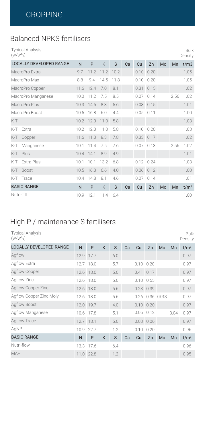### Balanced NPKS fertilisers

Typical Analysis (w/w%)

| $(w/w\%)$                      |      |                |           |      |    |          |                   |    |      | Density          |
|--------------------------------|------|----------------|-----------|------|----|----------|-------------------|----|------|------------------|
| <b>LOCALLY DEVELOPED RANGE</b> | N    | P              | K         | S    | Ca | Cu       | Zn                | Mo | Mn   | t/m3             |
| MacroPro Extra                 | 9.7  | 11.2           | 11.2 10.2 |      |    | 0.10     | 0.20              |    |      | 1.05             |
| MacroPro Max                   | 8.8  | 9.4            | 14.5      | 11.8 |    | 0.10     | 0.20              |    |      | 1.05             |
| MacroPro Copper                |      | 11.6 12.4      | 7.0       | 8.1  |    | 0.31     | 0.15              |    |      | 1.02             |
| MacroPro Manganese             | 10.0 | 11.2           | 7.5       | 8.5  |    | 0.07     | 0.14              |    | 2.56 | 1.02             |
| MacroPro Plus                  |      | 10.3 14.5      | 8.3       | 5.6  |    |          | $0.08$ 0.15       |    |      | 1.01             |
| MacroPro Boost                 | 10.5 | 16.8           | 6.0       | 4.4  |    | 0.05     | 0.11              |    |      | 1.00             |
| $K-Till$                       |      | 10.2 12.0 11.0 |           | 5.8  |    |          |                   |    |      | 1.03             |
| K-Till Extra                   | 10.2 | 12.0           | 11.0      | 5.8  |    | 0.10     | 0.20              |    |      | 1.03             |
| K-Till Copper                  |      | 11.6 11.3      | 8.3       | 7.8  |    |          | $0.33 \quad 0.17$ |    |      | 1.02             |
| K-Till Manganese               | 10.1 | 11.4           | 7.5       | 7.6  |    | 0.07     | 0.13              |    | 2.56 | 1.02             |
| K-Till Plus                    |      | 10.4 14.1      | 8.9       | 4.9  |    |          |                   |    |      | 1.01             |
| K-Till Extra Plus              | 10.1 | 10.1           | 13.2      | 6.8  |    | $0.12 -$ | 0.24              |    |      | 1.03             |
| K-Till Boost                   |      | 10.5 16.3      | 6.6       | 4.0  |    |          | $0.06$ 0.12       |    |      | 1.00             |
| K-Till Trace                   | 10.4 | 14.8           | 8.1       | 4.6  |    | $0.07 -$ | 0.14              |    |      | 1.01             |
| <b>BASIC RANGE</b>             | N    | P              | K         | S    | Ca | Cu       | Zn                | Mo | Mn   | t/m <sup>3</sup> |
| Nutri-Till                     | 10.9 | 12.1           | 11.4      | 6.4  |    |          |                   |    |      | 1.00             |

Bulk

### High P / maintenance S fertilisers

| <b>Typical Analysis</b><br>$(w/w\%)$ |      |           |   |     |    |      |                   |    |      | <b>Bulk</b><br>Density |
|--------------------------------------|------|-----------|---|-----|----|------|-------------------|----|------|------------------------|
| <b>LOCALLY DEVELOPED RANGE</b>       | N    | P         | K | S   | Ca | Cu   | Zn                | Mo | Mn   | t/m <sup>3</sup>       |
| Agflow                               |      | 12.9 17.7 |   | 6.0 |    |      |                   |    |      | 0.97                   |
| Agflow Extra                         |      | 12.7 18.0 |   | 5.7 |    |      | $0.10$ $0.20$     |    |      | 0.97                   |
| Agflow Copper                        |      | 12.6 18.0 |   | 5.6 |    |      | $0.41$ 0.17       |    |      | 0.97                   |
| Agflow Zinc                          |      | 12.6 18.0 |   | 5.6 |    |      | $0.10$ $0.55$     |    |      | 0.97                   |
| Agflow Copper Zinc                   |      | 12.6 18.0 |   | 5.6 |    |      | $0.23$ 0.39       |    |      | 0.97                   |
| Agflow Copper Zinc Moly              |      | 12.6 18.0 |   | 5.6 |    |      | 0.26 0.36 0.013   |    |      | 0.97                   |
| Agflow Boost                         |      | 12.0 19.7 |   | 4.0 |    |      | $0.10 \quad 0.20$ |    |      | 0.97                   |
| Agflow Manganese                     |      | 10.6 17.8 |   | 5.1 |    | 0.06 | 0.12              |    | 3.04 | 0.97                   |
| Agflow Trace                         |      | 12.7 18.1 |   | 5.6 |    |      | $0.03$ 0.06       |    |      | 0.97                   |
| AgNP                                 | 10.9 | 22.7      |   | 1.2 |    | 0.10 | 0.20              |    |      | 0.96                   |
| <b>BASIC RANGE</b>                   | N    | P         | K | S   | Ca | Cu   | Zn                | Mo | Mn   | t/m <sup>3</sup>       |
| Nutri-flow                           | 13.3 | 17.6      |   | 6.4 |    |      |                   |    |      | 0.96                   |
| <b>MAP</b>                           |      | 11.0 22.8 |   | 1.2 |    |      |                   |    |      | 0.95                   |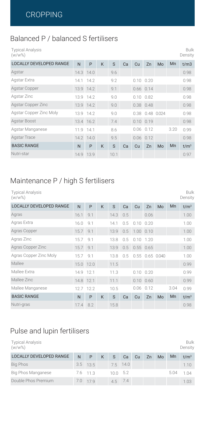#### Balanced P / balanced S fertilisers

Typical Analysis (w/w%)

| $(w/w\%)$                      |   |           |   |      |    |               |                   |    |      | Density          |
|--------------------------------|---|-----------|---|------|----|---------------|-------------------|----|------|------------------|
| <b>LOCALLY DEVELOPED RANGE</b> | N | P         | K | S    | Ca | Cu            | Zn                | Mo | Mn   | t/m3             |
| Agstar                         |   | 14.3 14.0 |   | 9.6  |    |               |                   |    |      | 0.98             |
| Agstar Extra                   |   | 14.1 14.2 |   | 9.2  |    |               | $0.10 \quad 0.20$ |    |      | 0.98             |
| Agstar Copper                  |   | 13.9 14.2 |   | 9.1  |    |               | $0.66$ $0.14$     |    |      | 0.98             |
| Agstar Zinc                    |   | 13.9 14.2 |   | 9.0  |    |               | $0.10$ $0.82$     |    |      | 0.98             |
| Agstar Copper Zinc             |   | 13.9 14.2 |   | 9.0  |    |               | $0.38$ 0.48       |    |      | 0.98             |
| Agstar Copper Zinc Moly        |   | 13.9 14.2 |   | 9.0  |    |               | 0.38 0.48 0.024   |    |      | 0.98             |
| Agstar Boost                   |   | 13.4 16.2 |   | 7.4  |    | $0.10$ $0.19$ |                   |    |      | 0.98             |
| Agstar Manganese               |   | 11.9 14.1 |   | 8.6  |    | 0.06          | 0.12              |    | 3.20 | 0.99             |
| Agstar Trace                   |   | 14.2 14.0 |   | 9.5  |    |               | $0.06$ $0.12$     |    |      | 0.98             |
| <b>BASIC RANGE</b>             | N | P         | K | S    | Ca | Cu            | Zn                | Mo | Mn   | t/m <sup>3</sup> |
| Nutri-star                     |   | 14.9 13.9 |   | 10.1 |    |               |                   |    |      | 0.97             |

Bulk

#### Maintenance P / high S fertilisers

| <b>Typical Analysis</b><br>$(w/w\%)$ |           |           |   |      |     |             |                   |    |      | Bulk<br>Density  |
|--------------------------------------|-----------|-----------|---|------|-----|-------------|-------------------|----|------|------------------|
| <b>LOCALLY DEVELOPED RANGE</b>       | N         | P         | K | S    | Ca  | Cu          | Zn                | Mo | Mn   | t/m <sup>3</sup> |
| Agras                                | 16.1      | 9.1       |   | 14.3 | 0.5 |             | 0.06              |    |      | 1.00             |
| Agras Extra                          | 16.0      | 9.1       |   | 14.1 | 0.5 | 0.10        | 0.20              |    |      | 1.00             |
| Agras Copper                         | 15.7      | 9.1       |   | 13.9 | 0.5 | 1.00 0.10   |                   |    |      | 1.00             |
| Agras Zinc                           | 15.7      | 9.1       |   | 13.8 | 0.5 | $0.10$ 1.20 |                   |    |      | 1.00             |
| Agras Copper Zinc                    | 15.7      | 9.1       |   | 13.9 | 0.5 |             | $0.55$ $0.65$     |    |      | 1.00             |
| Agras Copper Zinc Moly               | 15.7      | 9.1       |   | 13.8 | 0.5 |             | 0.55 0.65 0.040   |    |      | 1.00             |
| Mallee                               |           | 15.0 12.0 |   | 11.5 |     |             |                   |    |      | 0.99             |
| Mallee Extra                         | 14.9 12.1 |           |   | 11.3 |     |             | $0.10 \quad 0.20$ |    |      | 0.99             |
| Mallee Zinc                          | 14.8 12.1 |           |   | 11.1 |     |             | $0.10 \ 0.60$     |    |      | 0.99             |
| Mallee Manganese                     |           | 12.7 12.2 |   | 10.5 |     | 0.06        | 0.12              |    | 3.04 | 0.99             |
| <b>BASIC RANGE</b>                   | N         | P         | K | S    | Ca  | Cu          | Zn                | Mo | Mn   | t/m <sup>3</sup> |
| Nutri-gras                           | 17.4      | 8.2       |   | 15.8 |     |             |                   |    |      | 0.98             |

#### Pulse and lupin fertilisers

| <b>Typical Analysis</b><br>$(w/w\%)$ |   |            |   |         |          |    |    |    |      | Bulk<br>Density  |
|--------------------------------------|---|------------|---|---------|----------|----|----|----|------|------------------|
| <b>LOCALLY DEVELOPED RANGE</b>       | N | P          | K | S       | Ca       | Cu | Zn | Mo | Mn   | t/m <sup>3</sup> |
| <b>Big Phos</b>                      |   | $3.5$ 13.5 |   |         | 7.5 14.0 |    |    |    |      | 1.10             |
| Big Phos Manganese                   |   | 7.6 11.3   |   | 1005.2  |          |    |    |    | 5.04 | 1 <sub>04</sub>  |
| Double Phos Premium                  |   | 7.0 17.9   |   | 4.5 7.4 |          |    |    |    |      | 1.03             |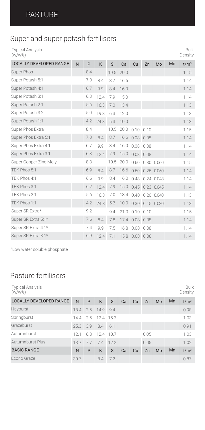### Super and super potash fertilisers

|           | Typical Analysis |
|-----------|------------------|
| $(W/W\%)$ |                  |

| <b>LOCALLY DEVELOPED RANGE</b> | $\mathsf{N}$ | P   | K    | S    | Ca   | Cu             | Zn   | Mo              | Mn | t/m <sup>3</sup> |
|--------------------------------|--------------|-----|------|------|------|----------------|------|-----------------|----|------------------|
| Super Phos                     |              | 8.4 |      | 10.5 | 20.0 |                |      |                 |    | 1.15             |
| Super Potash 5:1               |              | 7.0 | 8.4  | 8.7  | 16.6 |                |      |                 |    | 1.14             |
| Super Potash 4:1               |              | 6.7 | 9.9  | 8.4  | 16.0 |                |      |                 |    | 1.14             |
| Super Potash 3:1               |              | 6.3 | 12.4 | 7.9  | 15.0 |                |      |                 |    | 1.14             |
| Super Potash 2:1               |              | 5.6 | 16.3 | 7.0  | 13.4 |                |      |                 |    | 1.13             |
| Super Potash 3:2               |              | 5.0 | 19.8 | 6.3  | 12.0 |                |      |                 |    | 1.13             |
| Super Potash 1:1               |              | 4.2 | 24.8 | 5.3  | 10.0 |                |      |                 |    | 1.13             |
| Super Phos Extra               |              | 8.4 |      |      |      | 10.5 20.0 0.10 | 0.10 |                 |    | 1.15             |
| Super Phos Extra 5:1           |              | 7.0 | 8.4  | 8.7  |      | 16.6 0.08 0.08 |      |                 |    | 1.14             |
| Super Phos Extra 4:1           |              | 6.7 | 9.9  | 8.4  | 16.0 | 0.08           | 0.08 |                 |    | 1.14             |
| Super Phos Extra 3:1           |              | 6.3 | 12.4 | 7.9  |      | 15.0 0.08 0.08 |      |                 |    | 1.14             |
| Super Copper Zinc Moly         |              | 8.3 |      | 10.5 | 20.0 | 0.60           |      | 0.30 0.060      |    | 1.15             |
| TEK Phos 5:1                   |              | 6.9 | 8.4  | 8.7  | 16.6 | 0.50           |      | $0.25$ 0.050    |    | 1.14             |
| TEK Phos 4:1                   |              | 6.6 | 9.9  | 8.4  | 16.0 | 0.48           |      | 0.24 0.048      |    | 1.14             |
| TEK Phos 3:1                   |              | 6.2 | 12.4 | 7.9  | 15.0 | 0.45           |      | 0.23 0.045      |    | 1.14             |
| TEK Phos 2:1                   |              | 5.6 | 16.3 | 7.0  | 13.4 | 0.40           |      | $0.20$ $0.040$  |    | 1.13             |
| TEK Phos 1:1                   |              | 4.2 | 24.8 | 5.3  | 10.0 |                |      | 0.30 0.15 0.030 |    | 1.13             |
| Super SR Extra*                |              | 9.2 |      | 9.4  | 21.0 | 0.10           | 0.10 |                 |    | 1.15             |
| Super SR Extra 5:1*            |              | 7.6 | 8.4  | 7.8  |      | 17.4 0.08 0.08 |      |                 |    | 1.14             |
| Super SR Extra 4:1*            |              | 7.4 | 9.9  | 7.5  | 16.8 | 0.08           | 0.08 |                 |    | 1.14             |
| Super SR Extra 3:1*            |              | 6.9 | 12.4 | 7.1  |      | 15.8 0.08 0.08 |      |                 |    | 1.14             |
|                                |              |     |      |      |      |                |      |                 |    |                  |

Bulk Density

\* Low water soluble phosphate

### Pasture fertilisers

| <b>Typical Analysis</b><br>$(w/w\%)$ |          |    |                    |     |    |    |      |    |    | <b>Bulk</b><br>Density |
|--------------------------------------|----------|----|--------------------|-----|----|----|------|----|----|------------------------|
| <b>LOCALLY DEVELOPED RANGE</b>       | N        | P  | K                  | S   | Ca | Cu | Zn   | Mo | Mn | t/m <sup>3</sup>       |
| Hayburst                             |          |    | 18.4 2.5 14.9 9.4  |     |    |    |      |    |    | 0.98                   |
| Springburst                          |          |    | 14.4 2.5 12.4 15.3 |     |    |    |      |    |    | 1.03                   |
| Grazeburst                           | 25.3 3.9 |    | 8.4 6.1            |     |    |    |      |    |    | 0.91                   |
| Autumnburst                          | 12.1     |    | 6.8 12.4 10.7      |     |    |    | 0.05 |    |    | 1.03                   |
| Autumnburst Plus                     | 13.7     | 77 | 7.4 12.2           |     |    |    | 0.05 |    |    | 1.02                   |
| <b>BASIC RANGE</b>                   | N        | P  | K                  | S   | Ca | Cu | Zn   | Mo | Mn | t/m <sup>3</sup>       |
| Econo Graze                          | 30.7     |    | 8.4                | 7.2 |    |    |      |    |    | 0.87                   |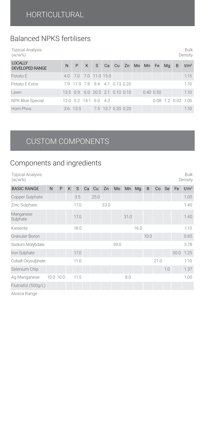### Balanced NPKS fertilisers

| <b>Typical Analysis</b><br>$(w/w\%)$ |   |   |  |
|--------------------------------------|---|---|--|
| <b>LOCALLY</b><br>DEVELOPED RANGE    | N | P |  |

| <b>DEVELOPED RANGE</b> |                                |  |  |  |                                           |  | N P K S Ca Cu Zn Mo Mn Fe Mg B t/m <sup>3</sup> |
|------------------------|--------------------------------|--|--|--|-------------------------------------------|--|-------------------------------------------------|
| Potato E               | 4.0 7.0 7.0 11.0 15.0          |  |  |  |                                           |  | 1.15                                            |
| Potato E Extra         | 7.9 11.9 7.8 9.4 4.1 0.13 0.20 |  |  |  |                                           |  | 1.10                                            |
| Lawn                   |                                |  |  |  | 13.5 0.9 6.0 20.5 2.1 0.10 0.10 0.40 0.50 |  | 1.10                                            |
| NPK Blue Special       | 12.0 5.2 14.1 6.0 4.3          |  |  |  |                                           |  | $0.08$ 1.2 $0.02$ 1.05                          |
| Horti Phos             | 3.6 13.5 7.5 13.7 0.20 0.20    |  |  |  |                                           |  | 1.10                                            |

Bulk Density

and the company of the

#### CUSTOM COMPONENTS

#### Components and ingredients

| <b>Typical Analysis</b><br>$(w/w\%)$ |           |   |   |      |    |      |      |      |      |      |      |      |     |           | <b>Bulk</b><br>Density |
|--------------------------------------|-----------|---|---|------|----|------|------|------|------|------|------|------|-----|-----------|------------------------|
| <b>BASIC RANGE</b>                   | N         | P | K | S    | Ca | Cu   | Zn   | Mo   | Mn   | Mq   | B    | Co   | Se  | Fe        | t/m <sup>3</sup>       |
| Copper Sulphate                      |           |   |   | 3.5  |    | 25.0 |      |      |      |      |      |      |     |           | 1.05                   |
| Zinc Sulphate                        |           |   |   | 17.0 |    |      | 33.0 |      |      |      |      |      |     |           | 1.40                   |
| Manganese<br>Sulphate                |           |   |   | 17.0 |    |      |      |      | 31.0 |      |      |      |     |           | 1.40                   |
| Kieserite                            |           |   |   | 18.0 |    |      |      |      |      | 16.0 |      |      |     |           | 1.13                   |
| Granular Boron                       |           |   |   |      |    |      |      |      |      |      | 10.0 |      |     |           | 0.85                   |
| Sodium Molybdate                     |           |   |   |      |    |      |      | 39.0 |      |      |      |      |     |           | 3.78                   |
| Iron Sulphate                        |           |   |   | 17.0 |    |      |      |      |      |      |      |      |     | 30.0 1.25 |                        |
| Cobalt Oxysulphate                   |           |   |   | 11.0 |    |      |      |      |      |      |      | 21.0 |     |           | 1.10                   |
| Selenium Chip                        |           |   |   |      |    |      |      |      |      |      |      |      | 1.0 |           | 1.37                   |
| Ag Manganese                         | 10.0 10.0 |   |   | 11.5 |    |      |      |      | 8.0  |      |      |      |     |           | 1.00                   |
| Flutriafol (500g/L)                  |           |   |   |      |    |      |      |      |      |      |      |      |     |           |                        |

Alosca Range